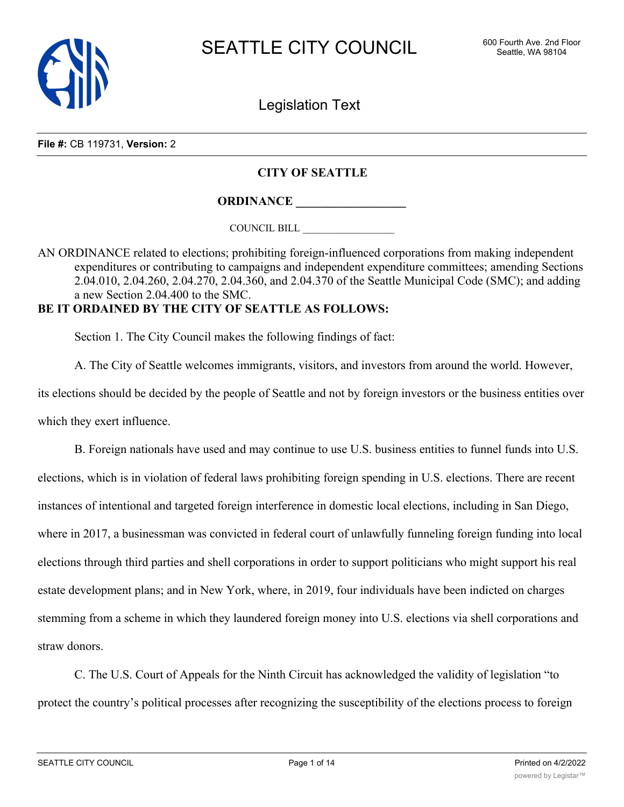

Legislation Text

**File #:** CB 119731, **Version:** 2

# **CITY OF SEATTLE**

**ORDINANCE \_\_\_\_\_\_\_\_\_\_\_\_\_\_\_\_\_\_**

COUNCIL BILL \_\_\_\_\_\_\_\_\_\_\_\_\_\_\_\_\_\_

AN ORDINANCE related to elections; prohibiting foreign-influenced corporations from making independent expenditures or contributing to campaigns and independent expenditure committees; amending Sections 2.04.010, 2.04.260, 2.04.270, 2.04.360, and 2.04.370 of the Seattle Municipal Code (SMC); and adding a new Section 2.04.400 to the SMC.

# **BE IT ORDAINED BY THE CITY OF SEATTLE AS FOLLOWS:**

Section 1. The City Council makes the following findings of fact:

A. The City of Seattle welcomes immigrants, visitors, and investors from around the world. However,

its elections should be decided by the people of Seattle and not by foreign investors or the business entities over which they exert influence.

B. Foreign nationals have used and may continue to use U.S. business entities to funnel funds into U.S. elections, which is in violation of federal laws prohibiting foreign spending in U.S. elections. There are recent instances of intentional and targeted foreign interference in domestic local elections, including in San Diego, where in 2017, a businessman was convicted in federal court of unlawfully funneling foreign funding into local elections through third parties and shell corporations in order to support politicians who might support his real estate development plans; and in New York, where, in 2019, four individuals have been indicted on charges stemming from a scheme in which they laundered foreign money into U.S. elections via shell corporations and straw donors.

C. The U.S. Court of Appeals for the Ninth Circuit has acknowledged the validity of legislation "to protect the country's political processes after recognizing the susceptibility of the elections process to foreign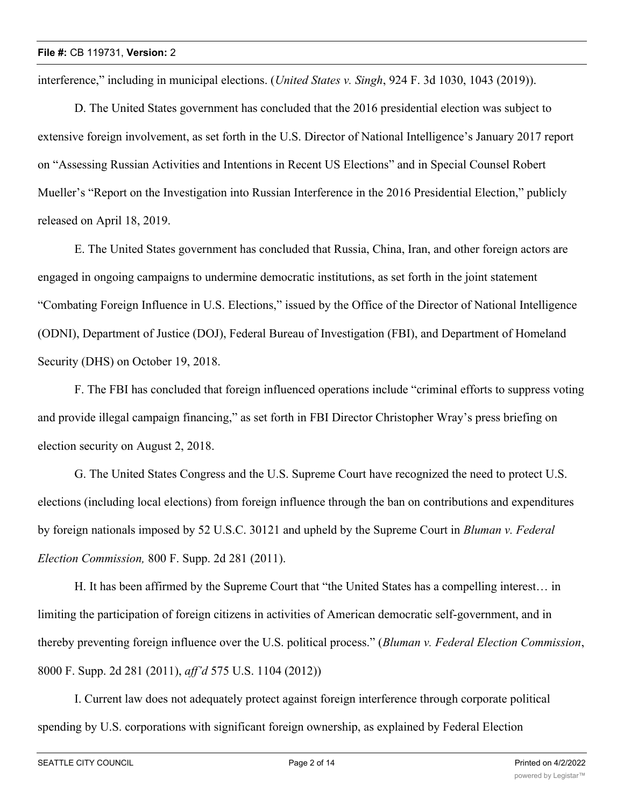interference," including in municipal elections. (*United States v. Singh*, 924 F. 3d 1030, 1043 (2019)).

D. The United States government has concluded that the 2016 presidential election was subject to extensive foreign involvement, as set forth in the U.S. Director of National Intelligence's January 2017 report on "Assessing Russian Activities and Intentions in Recent US Elections" and in Special Counsel Robert Mueller's "Report on the Investigation into Russian Interference in the 2016 Presidential Election," publicly released on April 18, 2019.

E. The United States government has concluded that Russia, China, Iran, and other foreign actors are engaged in ongoing campaigns to undermine democratic institutions, as set forth in the joint statement "Combating Foreign Influence in U.S. Elections," issued by the Office of the Director of National Intelligence (ODNI), Department of Justice (DOJ), Federal Bureau of Investigation (FBI), and Department of Homeland Security (DHS) on October 19, 2018.

F. The FBI has concluded that foreign influenced operations include "criminal efforts to suppress voting and provide illegal campaign financing," as set forth in FBI Director Christopher Wray's press briefing on election security on August 2, 2018.

G. The United States Congress and the U.S. Supreme Court have recognized the need to protect U.S. elections (including local elections) from foreign influence through the ban on contributions and expenditures by foreign nationals imposed by 52 U.S.C. 30121 and upheld by the Supreme Court in *Bluman v. Federal Election Commission,* 800 F. Supp. 2d 281 (2011).

H. It has been affirmed by the Supreme Court that "the United States has a compelling interest… in limiting the participation of foreign citizens in activities of American democratic self-government, and in thereby preventing foreign influence over the U.S. political process." (*Bluman v. Federal Election Commission*, 8000 F. Supp. 2d 281 (2011), *aff'd* 575 U.S. 1104 (2012))

I. Current law does not adequately protect against foreign interference through corporate political spending by U.S. corporations with significant foreign ownership, as explained by Federal Election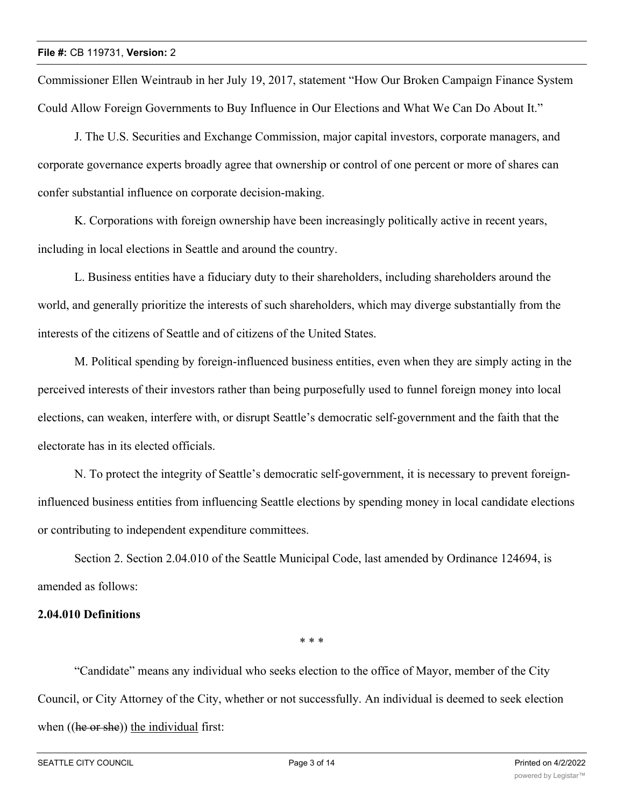Commissioner Ellen Weintraub in her July 19, 2017, statement "How Our Broken Campaign Finance System Could Allow Foreign Governments to Buy Influence in Our Elections and What We Can Do About It."

J. The U.S. Securities and Exchange Commission, major capital investors, corporate managers, and corporate governance experts broadly agree that ownership or control of one percent or more of shares can confer substantial influence on corporate decision-making.

K. Corporations with foreign ownership have been increasingly politically active in recent years, including in local elections in Seattle and around the country.

L. Business entities have a fiduciary duty to their shareholders, including shareholders around the world, and generally prioritize the interests of such shareholders, which may diverge substantially from the interests of the citizens of Seattle and of citizens of the United States.

M. Political spending by foreign-influenced business entities, even when they are simply acting in the perceived interests of their investors rather than being purposefully used to funnel foreign money into local elections, can weaken, interfere with, or disrupt Seattle's democratic self-government and the faith that the electorate has in its elected officials.

N. To protect the integrity of Seattle's democratic self-government, it is necessary to prevent foreigninfluenced business entities from influencing Seattle elections by spending money in local candidate elections or contributing to independent expenditure committees.

Section 2. Section 2.04.010 of the Seattle Municipal Code, last amended by Ordinance 124694, is amended as follows:

# **2.04.010 Definitions**

\* \* \*

"Candidate" means any individual who seeks election to the office of Mayor, member of the City Council, or City Attorney of the City, whether or not successfully. An individual is deemed to seek election when  $((he \text{ or } she))$  the individual first: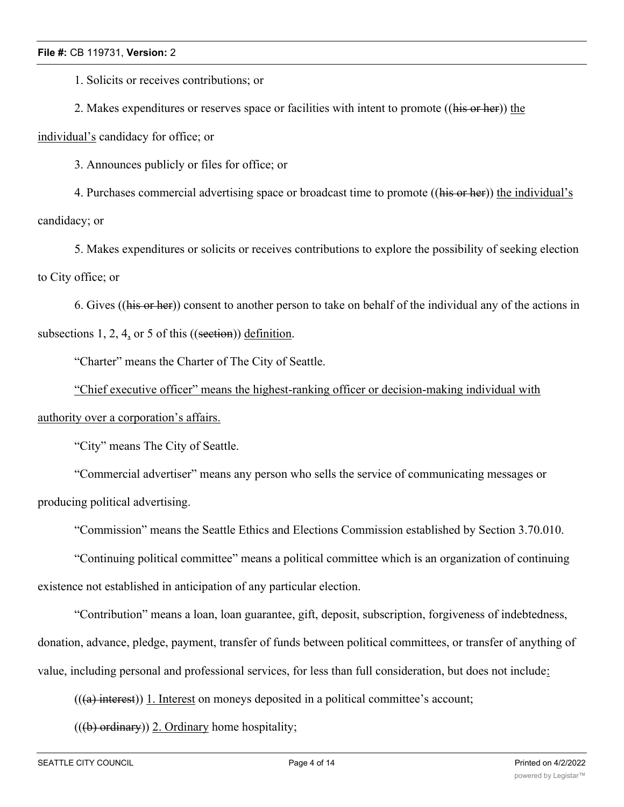1. Solicits or receives contributions; or

2. Makes expenditures or reserves space or facilities with intent to promote ((his or her)) the

individual's candidacy for office; or

3. Announces publicly or files for office; or

4. Purchases commercial advertising space or broadcast time to promote ((his or her)) the individual's candidacy; or

5. Makes expenditures or solicits or receives contributions to explore the possibility of seeking election to City office; or

6. Gives ((his or her)) consent to another person to take on behalf of the individual any of the actions in subsections 1, 2, 4, or 5 of this ((section)) definition.

"Charter" means the Charter of The City of Seattle.

"Chief executive officer" means the highest-ranking officer or decision-making individual with

authority over a corporation's affairs.

"City" means The City of Seattle.

"Commercial advertiser" means any person who sells the service of communicating messages or producing political advertising.

"Commission" means the Seattle Ethics and Elections Commission established by Section 3.70.010.

"Continuing political committee" means a political committee which is an organization of continuing existence not established in anticipation of any particular election.

"Contribution" means a loan, loan guarantee, gift, deposit, subscription, forgiveness of indebtedness, donation, advance, pledge, payment, transfer of funds between political committees, or transfer of anything of value, including personal and professional services, for less than full consideration, but does not include:

 $(((a)$  interest)) 1. Interest on moneys deposited in a political committee's account;

 $((**b**)$  ordinary)) 2. Ordinary home hospitality;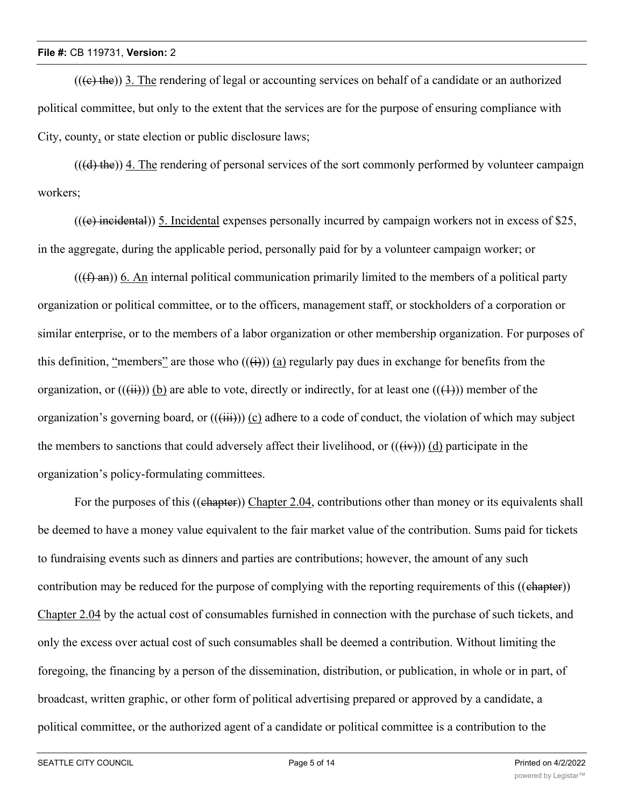$((e, the))$  3. The rendering of legal or accounting services on behalf of a candidate or an authorized political committee, but only to the extent that the services are for the purpose of ensuring compliance with City, county, or state election or public disclosure laws;

 $((\text{d})$  the)) 4. The rendering of personal services of the sort commonly performed by volunteer campaign workers;

 $((e)$  incidental)) 5. Incidental expenses personally incurred by campaign workers not in excess of \$25, in the aggregate, during the applicable period, personally paid for by a volunteer campaign worker; or

 $((f \cdot \hat{f})$  and  $(\hat{f})$  and internal political communication primarily limited to the members of a political party organization or political committee, or to the officers, management staff, or stockholders of a corporation or similar enterprise, or to the members of a labor organization or other membership organization. For purposes of this definition, "members" are those who  $((\text{ii}))$  (a) regularly pay dues in exchange for benefits from the organization, or  $((\overrightarrow{iii}))$  (b) are able to vote, directly or indirectly, for at least one  $((\overrightarrow{ii}))$  member of the organization's governing board, or  $((\overrightarrow{iii}))$  (c) adhere to a code of conduct, the violation of which may subject the members to sanctions that could adversely affect their livelihood, or  $((\overrightarrow{iv}))$  (d) participate in the organization's policy-formulating committees.

For the purposes of this ((chapter)) Chapter 2.04, contributions other than money or its equivalents shall be deemed to have a money value equivalent to the fair market value of the contribution. Sums paid for tickets to fundraising events such as dinners and parties are contributions; however, the amount of any such contribution may be reduced for the purpose of complying with the reporting requirements of this ((chapter)) Chapter 2.04 by the actual cost of consumables furnished in connection with the purchase of such tickets, and only the excess over actual cost of such consumables shall be deemed a contribution. Without limiting the foregoing, the financing by a person of the dissemination, distribution, or publication, in whole or in part, of broadcast, written graphic, or other form of political advertising prepared or approved by a candidate, a political committee, or the authorized agent of a candidate or political committee is a contribution to the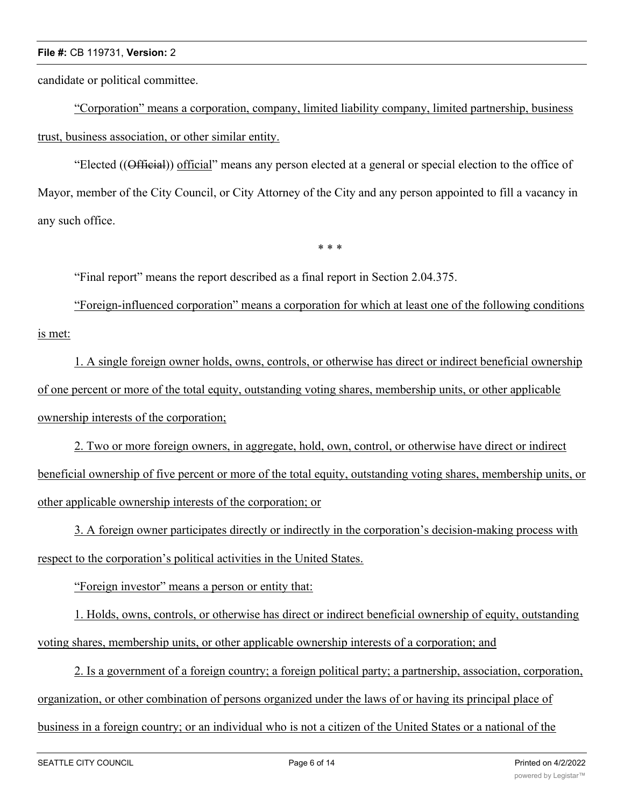candidate or political committee.

"Corporation" means a corporation, company, limited liability company, limited partnership, business trust, business association, or other similar entity.

"Elected ((Official)) official" means any person elected at a general or special election to the office of Mayor, member of the City Council, or City Attorney of the City and any person appointed to fill a vacancy in any such office.

\* \* \*

"Final report" means the report described as a final report in Section 2.04.375.

"Foreign-influenced corporation" means a corporation for which at least one of the following conditions is met:

1. A single foreign owner holds, owns, controls, or otherwise has direct or indirect beneficial ownership of one percent or more of the total equity, outstanding voting shares, membership units, or other applicable ownership interests of the corporation;

2. Two or more foreign owners, in aggregate, hold, own, control, or otherwise have direct or indirect beneficial ownership of five percent or more of the total equity, outstanding voting shares, membership units, or other applicable ownership interests of the corporation; or

3. A foreign owner participates directly or indirectly in the corporation's decision-making process with respect to the corporation's political activities in the United States.

"Foreign investor" means a person or entity that:

1. Holds, owns, controls, or otherwise has direct or indirect beneficial ownership of equity, outstanding voting shares, membership units, or other applicable ownership interests of a corporation; and

2. Is a government of a foreign country; a foreign political party; a partnership, association, corporation, organization, or other combination of persons organized under the laws of or having its principal place of business in a foreign country; or an individual who is not a citizen of the United States or a national of the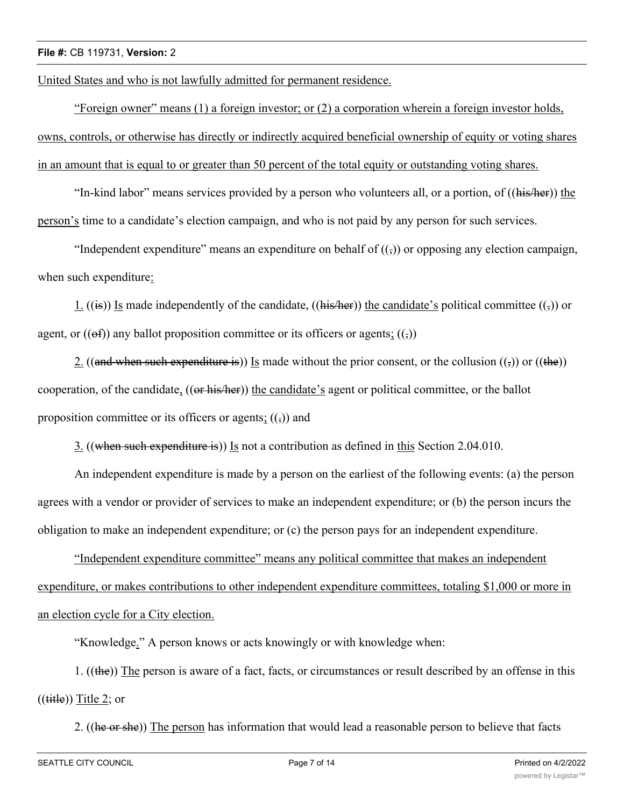United States and who is not lawfully admitted for permanent residence.

"Foreign owner" means (1) a foreign investor; or (2) a corporation wherein a foreign investor holds, owns, controls, or otherwise has directly or indirectly acquired beneficial ownership of equity or voting shares in an amount that is equal to or greater than 50 percent of the total equity or outstanding voting shares.

"In-kind labor" means services provided by a person who volunteers all, or a portion, of ((his/her)) the person's time to a candidate's election campaign, and who is not paid by any person for such services.

"Independent expenditure" means an expenditure on behalf of  $((\tau))$  or opposing any election campaign, when such expenditure:

1. ((is)) Is made independently of the candidate, ((his/her)) the candidate's political committee (( $\frac{1}{2}$ ) or agent, or  $((ef))$  any ballot proposition committee or its officers or agents;  $((,))$ 

2. ((and when such expenditure is)) Is made without the prior consent, or the collusion  $((\tau))$  or ((the)) cooperation, of the candidate, ((or his/her)) the candidate's agent or political committee, or the ballot proposition committee or its officers or agents;  $((\tau))$  and

3. ((when such expenditure is)) Is not a contribution as defined in this Section 2.04.010.

An independent expenditure is made by a person on the earliest of the following events: (a) the person agrees with a vendor or provider of services to make an independent expenditure; or (b) the person incurs the obligation to make an independent expenditure; or (c) the person pays for an independent expenditure.

"Independent expenditure committee" means any political committee that makes an independent expenditure, or makes contributions to other independent expenditure committees, totaling \$1,000 or more in an election cycle for a City election.

"Knowledge." A person knows or acts knowingly or with knowledge when:

1. ((the)) The person is aware of a fact, facts, or circumstances or result described by an offense in this  $((\text{title}))$  Title 2; or

2. ((he or she)) The person has information that would lead a reasonable person to believe that facts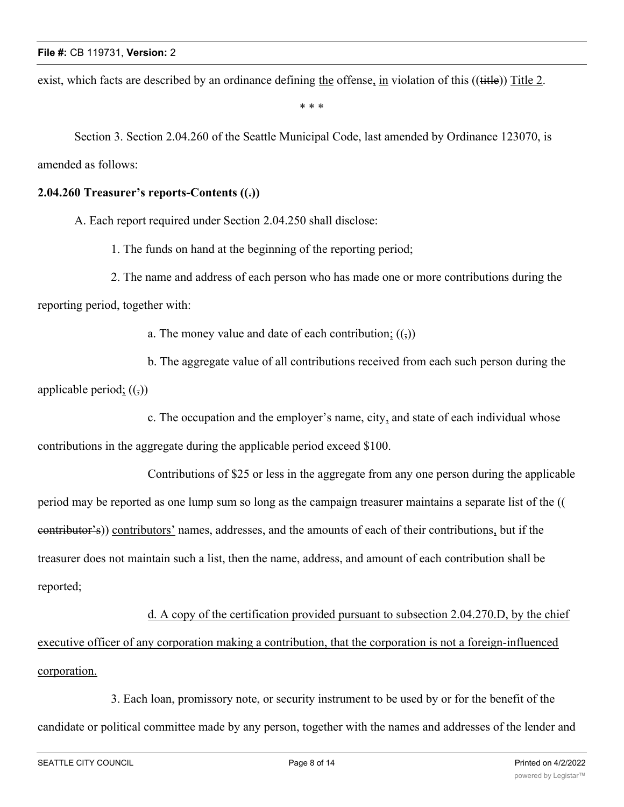exist, which facts are described by an ordinance defining the offense, in violation of this ((title)) Title 2.

\* \* \*

Section 3. Section 2.04.260 of the Seattle Municipal Code, last amended by Ordinance 123070, is amended as follows:

### **2.04.260 Treasurer's reports-Contents ((.))**

A. Each report required under Section 2.04.250 shall disclose:

1. The funds on hand at the beginning of the reporting period;

2. The name and address of each person who has made one or more contributions during the reporting period, together with:

a. The money value and date of each contribution;  $((\tau))$ 

b. The aggregate value of all contributions received from each such person during the applicable period;  $((\tau))$ 

c. The occupation and the employer's name, city, and state of each individual whose

contributions in the aggregate during the applicable period exceed \$100.

Contributions of \$25 or less in the aggregate from any one person during the applicable period may be reported as one lump sum so long as the campaign treasurer maintains a separate list of the (( contributor's)) contributors' names, addresses, and the amounts of each of their contributions, but if the treasurer does not maintain such a list, then the name, address, and amount of each contribution shall be reported;

# d. A copy of the certification provided pursuant to subsection 2.04.270.D, by the chief executive officer of any corporation making a contribution, that the corporation is not a foreign-influenced corporation.

3. Each loan, promissory note, or security instrument to be used by or for the benefit of the candidate or political committee made by any person, together with the names and addresses of the lender and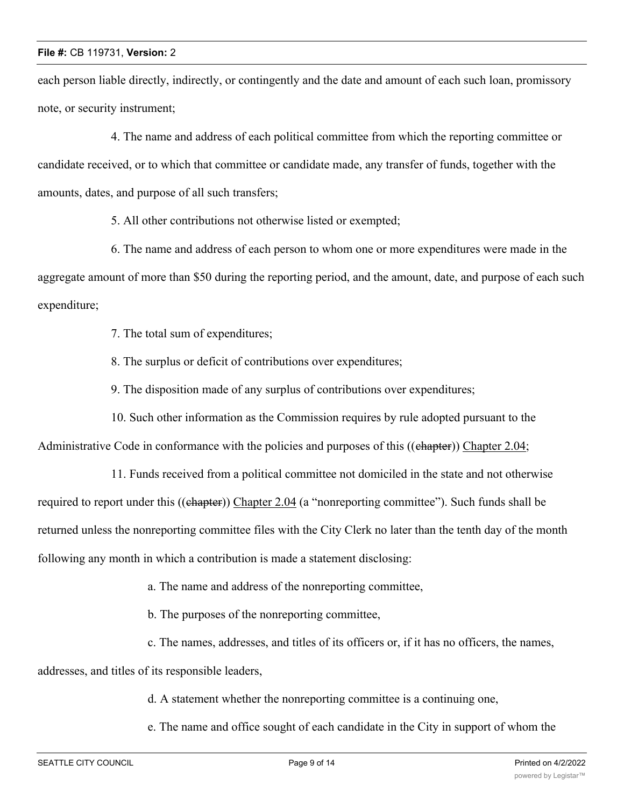each person liable directly, indirectly, or contingently and the date and amount of each such loan, promissory note, or security instrument;

4. The name and address of each political committee from which the reporting committee or candidate received, or to which that committee or candidate made, any transfer of funds, together with the amounts, dates, and purpose of all such transfers;

5. All other contributions not otherwise listed or exempted;

6. The name and address of each person to whom one or more expenditures were made in the aggregate amount of more than \$50 during the reporting period, and the amount, date, and purpose of each such expenditure;

7. The total sum of expenditures;

8. The surplus or deficit of contributions over expenditures;

9. The disposition made of any surplus of contributions over expenditures;

10. Such other information as the Commission requires by rule adopted pursuant to the

Administrative Code in conformance with the policies and purposes of this ((chapter)) Chapter 2.04;

11. Funds received from a political committee not domiciled in the state and not otherwise required to report under this ((chapter)) Chapter 2.04 (a "nonreporting committee"). Such funds shall be returned unless the nonreporting committee files with the City Clerk no later than the tenth day of the month following any month in which a contribution is made a statement disclosing:

a. The name and address of the nonreporting committee,

b. The purposes of the nonreporting committee,

c. The names, addresses, and titles of its officers or, if it has no officers, the names,

addresses, and titles of its responsible leaders,

d. A statement whether the nonreporting committee is a continuing one,

e. The name and office sought of each candidate in the City in support of whom the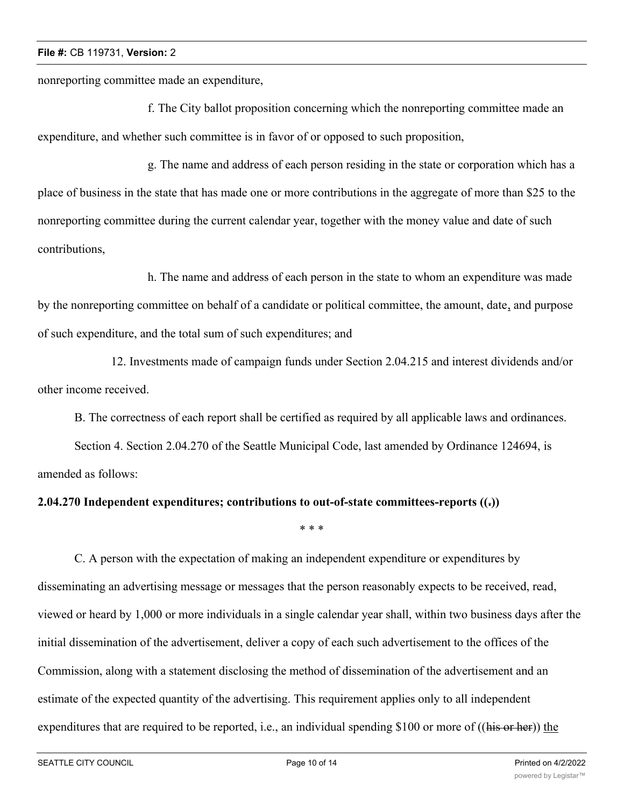nonreporting committee made an expenditure,

f. The City ballot proposition concerning which the nonreporting committee made an expenditure, and whether such committee is in favor of or opposed to such proposition,

g. The name and address of each person residing in the state or corporation which has a place of business in the state that has made one or more contributions in the aggregate of more than \$25 to the nonreporting committee during the current calendar year, together with the money value and date of such contributions,

h. The name and address of each person in the state to whom an expenditure was made by the nonreporting committee on behalf of a candidate or political committee, the amount, date, and purpose of such expenditure, and the total sum of such expenditures; and

12. Investments made of campaign funds under Section 2.04.215 and interest dividends and/or other income received.

B. The correctness of each report shall be certified as required by all applicable laws and ordinances.

Section 4. Section 2.04.270 of the Seattle Municipal Code, last amended by Ordinance 124694, is amended as follows:

### **2.04.270 Independent expenditures; contributions to out-of-state committees-reports ((.))**

C. A person with the expectation of making an independent expenditure or expenditures by disseminating an advertising message or messages that the person reasonably expects to be received, read, viewed or heard by 1,000 or more individuals in a single calendar year shall, within two business days after the initial dissemination of the advertisement, deliver a copy of each such advertisement to the offices of the Commission, along with a statement disclosing the method of dissemination of the advertisement and an estimate of the expected quantity of the advertising. This requirement applies only to all independent expenditures that are required to be reported, i.e., an individual spending \$100 or more of ((his or her)) the

\* \* \*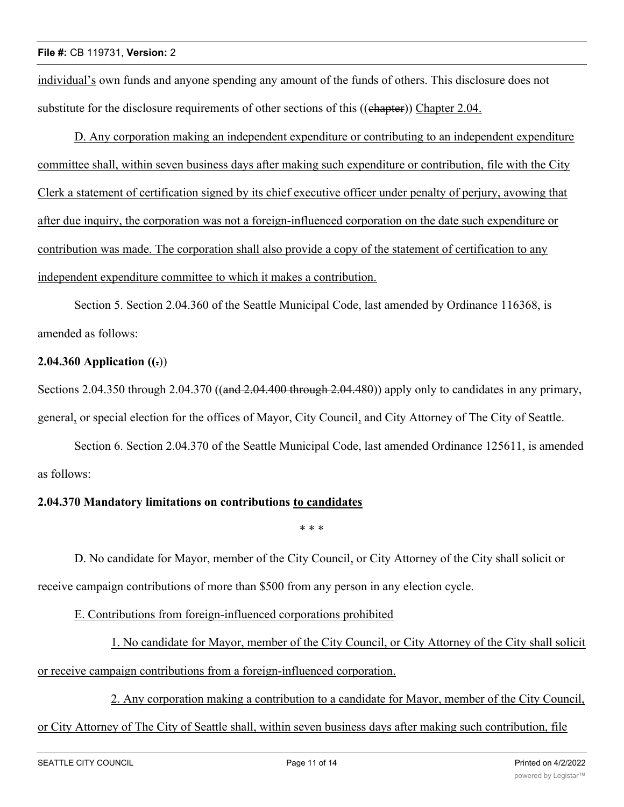individual's own funds and anyone spending any amount of the funds of others. This disclosure does not substitute for the disclosure requirements of other sections of this ((ehapter)) Chapter 2.04.

D. Any corporation making an independent expenditure or contributing to an independent expenditure committee shall, within seven business days after making such expenditure or contribution, file with the City Clerk a statement of certification signed by its chief executive officer under penalty of perjury, avowing that after due inquiry, the corporation was not a foreign-influenced corporation on the date such expenditure or contribution was made. The corporation shall also provide a copy of the statement of certification to any independent expenditure committee to which it makes a contribution.

Section 5. Section 2.04.360 of the Seattle Municipal Code, last amended by Ordinance 116368, is amended as follows:

# **2.04.360 Application ((.**))

Sections 2.04.350 through 2.04.370 ((and 2.04.400 through 2.04.480)) apply only to candidates in any primary, general, or special election for the offices of Mayor, City Council, and City Attorney of The City of Seattle.

Section 6. Section 2.04.370 of the Seattle Municipal Code, last amended Ordinance 125611, is amended as follows:

# **2.04.370 Mandatory limitations on contributions to candidates**

\* \* \*

D. No candidate for Mayor, member of the City Council, or City Attorney of the City shall solicit or receive campaign contributions of more than \$500 from any person in any election cycle.

E. Contributions from foreign-influenced corporations prohibited

1. No candidate for Mayor, member of the City Council, or City Attorney of the City shall solicit or receive campaign contributions from a foreign-influenced corporation.

2. Any corporation making a contribution to a candidate for Mayor, member of the City Council,

# or City Attorney of The City of Seattle shall, within seven business days after making such contribution, file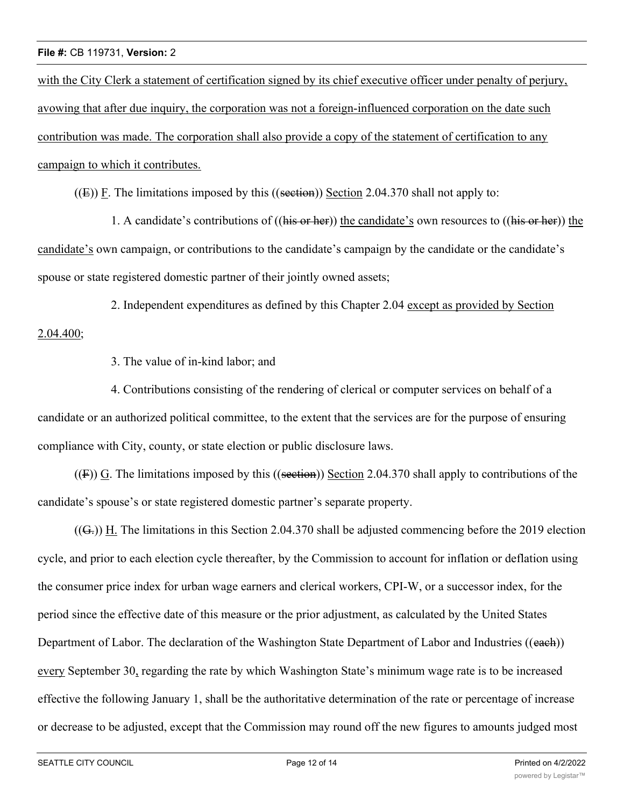with the City Clerk a statement of certification signed by its chief executive officer under penalty of perjury, avowing that after due inquiry, the corporation was not a foreign-influenced corporation on the date such contribution was made. The corporation shall also provide a copy of the statement of certification to any campaign to which it contributes.

 $((E))$  F. The limitations imposed by this  $((section 2.04.370)$  shall not apply to:

1. A candidate's contributions of ((his or her)) the candidate's own resources to ((his or her)) the candidate's own campaign, or contributions to the candidate's campaign by the candidate or the candidate's spouse or state registered domestic partner of their jointly owned assets;

2. Independent expenditures as defined by this Chapter 2.04 except as provided by Section 2.04.400;

3. The value of in-kind labor; and

4. Contributions consisting of the rendering of clerical or computer services on behalf of a candidate or an authorized political committee, to the extent that the services are for the purpose of ensuring compliance with City, county, or state election or public disclosure laws.

 $((F))$  G. The limitations imposed by this  $((section))$  Section 2.04.370 shall apply to contributions of the candidate's spouse's or state registered domestic partner's separate property.

 $((G<sub>z</sub>))$  H. The limitations in this Section 2.04.370 shall be adjusted commencing before the 2019 election cycle, and prior to each election cycle thereafter, by the Commission to account for inflation or deflation using the consumer price index for urban wage earners and clerical workers, CPI-W, or a successor index, for the period since the effective date of this measure or the prior adjustment, as calculated by the United States Department of Labor. The declaration of the Washington State Department of Labor and Industries ((each)) every September 30, regarding the rate by which Washington State's minimum wage rate is to be increased effective the following January 1, shall be the authoritative determination of the rate or percentage of increase or decrease to be adjusted, except that the Commission may round off the new figures to amounts judged most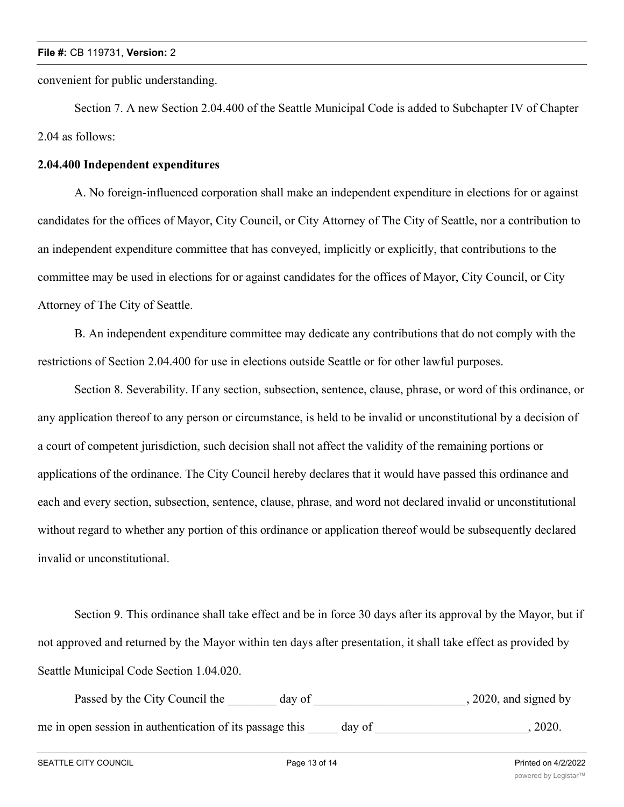convenient for public understanding.

Section 7. A new Section 2.04.400 of the Seattle Municipal Code is added to Subchapter IV of Chapter 2.04 as follows:

#### **2.04.400 Independent expenditures**

A. No foreign-influenced corporation shall make an independent expenditure in elections for or against candidates for the offices of Mayor, City Council, or City Attorney of The City of Seattle, nor a contribution to an independent expenditure committee that has conveyed, implicitly or explicitly, that contributions to the committee may be used in elections for or against candidates for the offices of Mayor, City Council, or City Attorney of The City of Seattle.

B. An independent expenditure committee may dedicate any contributions that do not comply with the restrictions of Section 2.04.400 for use in elections outside Seattle or for other lawful purposes.

Section 8. Severability. If any section, subsection, sentence, clause, phrase, or word of this ordinance, or any application thereof to any person or circumstance, is held to be invalid or unconstitutional by a decision of a court of competent jurisdiction, such decision shall not affect the validity of the remaining portions or applications of the ordinance. The City Council hereby declares that it would have passed this ordinance and each and every section, subsection, sentence, clause, phrase, and word not declared invalid or unconstitutional without regard to whether any portion of this ordinance or application thereof would be subsequently declared invalid or unconstitutional.

Section 9. This ordinance shall take effect and be in force 30 days after its approval by the Mayor, but if not approved and returned by the Mayor within ten days after presentation, it shall take effect as provided by Seattle Municipal Code Section 1.04.020.

Passed by the City Council the \_\_\_\_\_\_\_ day of \_\_\_\_\_\_\_\_\_\_\_\_\_\_\_\_\_\_\_\_\_\_\_\_, 2020, and signed by me in open session in authentication of its passage this \_\_\_\_\_ day of \_\_\_\_\_\_\_\_\_\_\_\_\_\_\_\_\_\_\_\_\_, 2020.